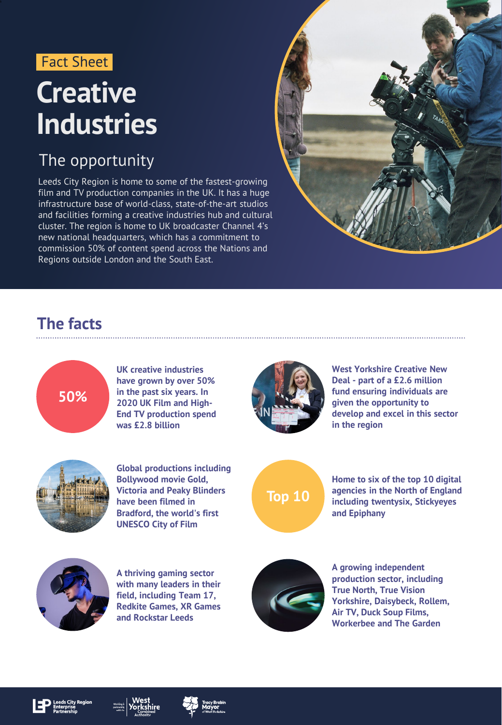#### Fact Sheet

## **Creative Industries**

#### The opportunity

Leeds City Region is home to some of the fastest-growing film and TV production companies in the UK. It has a huge infrastructure base of world-class, state-of-the-art studios and facilities forming a creative industries hub and cultural cluster. The region is home to UK broadcaster Channel 4's new national headquarters, which has a commitment to commission 50% of content spend across the Nations and Regions outside London and the South East.



#### **The facts**



**UK creative industries have grown by over 50% in the past six years. In 2020 UK Film and High-End TV production spend was £2.8 billion**



**West Yorkshire Creative New Deal - part of a £2.6 million fund ensuring individuals are given the opportunity to develop and excel in this sector in the region**



**Global productions including Bollywood movie Gold, Victoria and Peaky Blinders have been filmed in Bradford, the world's first UNESCO City of Film**



**Home to six of the top 10 digital agencies in the North of England including twentysix, Stickyeyes and Epiphany**



**A thriving gaming sector with many leaders in their field, including Team 17, Redkite Games, XR Games and Rockstar Leeds**



**A growing independent production sector, including True North, True Vision Yorkshire, Daisybeck, Rollem, Air TV, Duck Soup Films, Workerbee and The Garden**



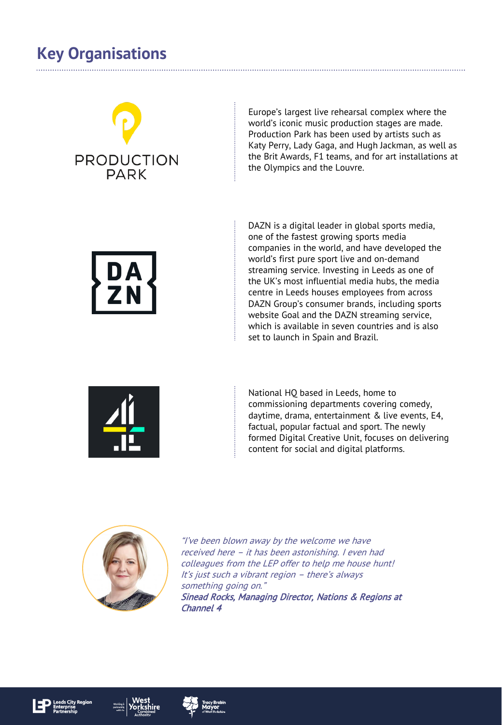### **Key Organisations**

# **PRODUCTION**  $P\Delta R$

Europe's largest live rehearsal complex where the world's iconic music production stages are made. Production Park has been used by artists such as Katy Perry, Lady Gaga, and Hugh Jackman, as well as the Brit Awards, F1 teams, and for art installations at the Olympics and the Louvre.



DAZN is a digital leader in global sports media, one of the fastest growing sports media companies in the world, and have developed the world's first pure sport live and on-demand streaming service. Investing in Leeds as one of the UK's most influential media hubs, the media centre in Leeds houses employees from across DAZN Group's consumer brands, including sports website Goal and the DAZN streaming service, which is available in seven countries and is also set to launch in Spain and Brazil.



National HQ based in Leeds, home to commissioning departments covering comedy, daytime, drama, entertainment & live events, E4, factual, popular factual and sport. The newly formed Digital Creative Unit, focuses on delivering content for social and digital platforms.



"I've been blown away by the welcome we have received here – it has been astonishing. I even had colleagues from the LEP offer to help me house hunt! It's just such a vibrant region – there's always something going on." Sinead Rocks, Managing Director, Nations & Regions at Channel 4